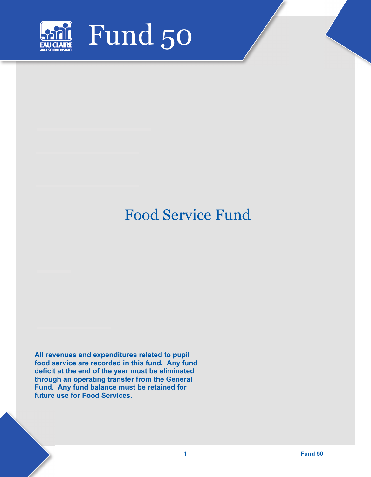

# Food Service Fund

**All revenues and expenditures related to pupil food service are recorded in this fund. Any fund deficit at the end of the year must be eliminated through an operating transfer from the General Fund. Any fund balance must be retained for future use for Food Services.**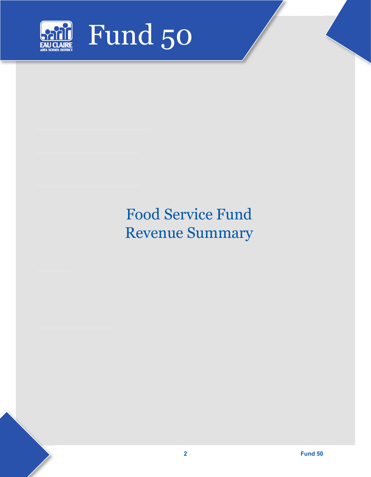

# Food Service Fund Revenue Summary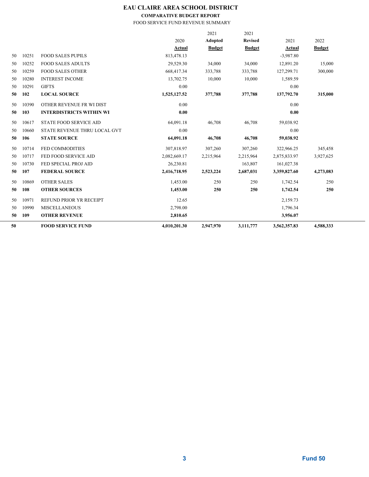## **EAU CLAIRE AREA SCHOOL DISTRICT**

### **COMPARATIVE BUDGET REPORT**

### FOOD SERVICE FUND REVENUE SUMMARY

| 50 |       | <b>FOOD SERVICE FUND</b>        | 4,010,201.30 | 2,947,970     | 3,111,777      | 3,562,357.83 | 4,588,333     |  |
|----|-------|---------------------------------|--------------|---------------|----------------|--------------|---------------|--|
| 50 | 109   | <b>OTHER REVENUE</b>            | 2,810.65     |               |                | 3,956.07     |               |  |
| 50 | 10990 | <b>MISCELLANEOUS</b>            | 2,798.00     |               |                | 1,796.34     |               |  |
| 50 | 10971 | REFUND PRIOR YR RECEIPT         | 12.65        |               |                | 2,159.73     |               |  |
| 50 | 108   | <b>OTHER SOURCES</b>            | 1,453.00     | 250           | 250            | 1,742.54     | 250           |  |
| 50 | 10869 | <b>OTHER SALES</b>              | 1,453.00     | 250           | 250            | 1,742.54     | 250           |  |
| 50 | 107   | <b>FEDERAL SOURCE</b>           | 2,416,718.95 | 2,523,224     | 2,687,031      | 3,359,827.60 | 4,273,083     |  |
| 50 | 10730 | FED SPECIAL PROJ AID            | 26,230.81    |               | 163,807        | 161,027.38   |               |  |
| 50 | 10717 | FED FOOD SERVICE AID            | 2,082,669.17 | 2,215,964     | 2,215,964      | 2,875,833.97 | 3,927,625     |  |
| 50 | 10714 | <b>FED COMMODITIES</b>          | 307,818.97   | 307,260       | 307,260        | 322,966.25   | 345,458       |  |
| 50 | 106   | <b>STATE SOURCE</b>             | 64,091.18    | 46,708        | 46,708         | 59,038.92    |               |  |
| 50 | 10660 | STATE REVENUE THRU LOCAL GVT    | 0.00         |               |                | 0.00         |               |  |
| 50 | 10617 | <b>STATE FOOD SERVICE AID</b>   | 64,091.18    | 46,708        | 46,708         | 59,038.92    |               |  |
|    |       |                                 |              |               |                |              |               |  |
| 50 | 103   | <b>INTERDISTRICTS WITHIN WI</b> | 0.00         |               |                | 0.00         |               |  |
| 50 | 10390 | OTHER REVENUE FR WI DIST        | 0.00         |               |                | 0.00         |               |  |
| 50 | 102   | <b>LOCAL SOURCE</b>             | 1,525,127.52 | 377,788       | 377,788        | 137,792.70   | 315,000       |  |
| 50 | 10291 | <b>GIFTS</b>                    | 0.00         |               |                | 0.00         |               |  |
| 50 | 10280 | <b>INTEREST INCOME</b>          | 13,702.75    | 10,000        | 10,000         | 1,589.59     |               |  |
| 50 | 10259 | <b>FOOD SALES OTHER</b>         | 668,417.34   | 333,788       | 333,788        | 127,299.71   | 300,000       |  |
| 50 | 10252 | <b>FOOD SALES ADULTS</b>        | 29,529.30    | 34,000        | 34,000         | 12,891.20    | 15,000        |  |
| 50 | 10251 | <b>FOOD SALES PUPILS</b>        | 813,478.13   |               |                | $-3.987.80$  |               |  |
|    |       |                                 | Actual       | <b>Budget</b> | <b>Budget</b>  | Actual       | <b>Budget</b> |  |
|    |       |                                 | 2020         | Adopted       | <b>Revised</b> | 2021         | 2022          |  |
|    |       |                                 |              | 2021          | 2021           |              |               |  |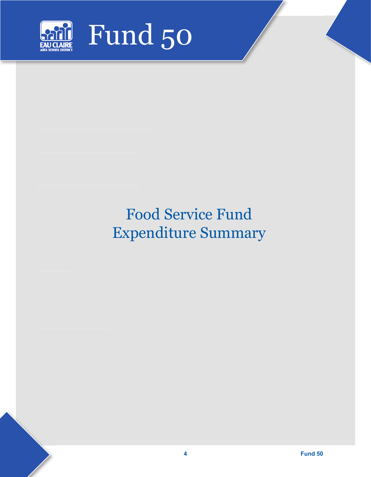

# Food Service Fund Expenditure Summary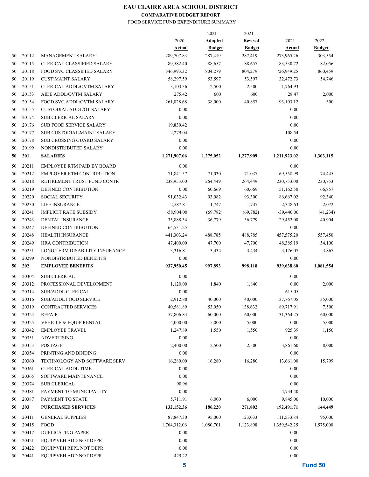# **EAU CLAIRE AREA SCHOOL DISTRICT**

## **COMPARATIVE BUDGET REPORT**

#### FOOD SERVICE FUND EXPENDITURE SUMMARY

|    |       |                                   |              | 2021           | 2021           |               |               |
|----|-------|-----------------------------------|--------------|----------------|----------------|---------------|---------------|
|    |       |                                   | 2020         | <b>Adopted</b> | <b>Revised</b> | 2021          | 2022          |
|    |       |                                   | Actual       | <b>Budget</b>  | <b>Budget</b>  | <u>Actual</u> | <b>Budget</b> |
| 50 | 20112 | <b>MANAGEMENT SALARY</b>          | 289,707.83   | 287,419        | 287,419        | 273,965.26    | 303,554       |
| 50 | 20115 | <b>CLERICAL CLASSIFIED SALARY</b> | 89,582.40    | 88,657         | 88,657         | 83,530.72     | 82,056        |
| 50 | 20118 | <b>FOOD SVC CLASSIFIED SALARY</b> | 546,993.32   | 804,279        | 804,279        | 726,949.25    | 860,459       |
| 50 | 20119 | <b>CUST\MAINT SALARY</b>          | 58,297.59    | 53,597         | 53,597         | 32,472.73     | 54,746        |
| 50 | 20151 | <b>CLERICAL ADDL\OVTM SALARY</b>  | 3,103.36     | 2,500          | 2,500          | 1,764.93      |               |
| 50 | 20153 | AIDE ADDL\OVTM SALARY             | 275.42       | 600            | 600            | 28.47         | 2,000         |
| 50 | 20154 | FOOD SVC ADDL\OVTM SALARY         | 261,828.68   | 38,000         | 40,857         | 93,103.12     | 300           |
| 50 | 20155 | <b>CUSTODIAL ADDL/OT SALARY</b>   | 0.00         |                |                | 0.00          |               |
| 50 | 20174 | <b>SUB CLERICAL SALARY</b>        | 0.00         |                |                | 0.00          |               |
| 50 | 20176 | <b>SUB FOOD SERVICE SALARY</b>    | 19,839.42    |                |                | 0.00          |               |
| 50 | 20177 | <b>SUB CUSTODIAL\MAINT SALARY</b> | 2,279.04     |                |                | 108.54        |               |
| 50 | 20178 | <b>SUB CROSSING GUARD SALARY</b>  | 0.00         |                |                | 0.00          |               |
| 50 | 20199 | NONDISTRIBUTED SALARY             | 0.00         |                |                | 0.00          |               |
| 50 | 201   | <b>SALARIES</b>                   | 1,271,907.06 | 1,275,052      | 1,277,909      | 1,211,923.02  | 1,303,115     |
| 50 | 20211 | <b>EMPLOYEE RTM PAID BY BOARD</b> | 0.00         |                |                | 0.00          |               |
| 50 | 20212 | <b>EMPLOYER RTM CONTRIBUTION</b>  | 71,841.57    | 71,030         | 71,037         | 69,558.99     | 74,445        |
| 50 | 20218 | RETIREMENT TRUST FUND CONTR       | 238,953.00   | 264,449        | 264,449        | 230,753.00    | 230,753       |
| 50 | 20219 | DEFINED CONTRIBUTION              | 0.00         | 60,669         | 60,669         | 51,162.50     | 66,857        |
| 50 | 20220 | <b>SOCIAL SECURITY</b>            | 91,032.43    | 93,082         | 93,300         | 86,667.02     | 92,340        |
| 50 | 20230 | <b>LIFE INSURANCE</b>             | 2,587.81     | 1,747          | 1,747          | 2,348.63      | 2,072         |
| 50 | 20241 | <b>IMPLICIT RATE SUBSIDY</b>      | $-58,904.00$ | (69, 782)      | (69, 782)      | $-39,440.00$  | (41, 234)     |
| 50 | 20243 | <b>DENTAL INSURANCE</b>           | 35,888.34    | 36,779         | 36,779         | 29,452.00     | 40,904        |
| 50 | 20247 | DEFINED CONTRIBUTION              | 64,531.25    |                |                | 0.00          |               |
| 50 | 20248 | HEALTH INSURANCE                  | 441,303.24   | 488,785        | 488,785        | 457,575.20    | 557,450       |
| 50 | 20249 | <b>HRA CONTRIBUTION</b>           | 47,400.00    | 47,700         | 47,700         | 48,385.19     | 54,100        |
| 50 | 20251 | LONG TERM DISABILITY INSURANCE    | 3,316.81     | 3,434          | 3,434          | 3,176.07      | 3,867         |
| 50 | 20299 | NONDISTRIBUTED BENEFITS           | 0.00         |                |                | 0.00          |               |
| 50 | 202   | <b>EMPLOYEE BENEFITS</b>          | 937,950.45   | 997,893        | 998,118        | 939,638.60    | 1,081,554     |
| 50 | 20304 | <b>SUB CLERICAL</b>               | 0.00         |                |                | 0.00          |               |
| 50 | 20312 | PROFESSIONAL DEVELOPMENT          | 1,120.00     | 1,840          | 1,840          | 0.00          | 2,000         |
| 50 | 20314 | <b>SUB/ADDL CLERICAL</b>          | 0.00         |                |                | 615.05        |               |
| 50 | 20316 | SUB/ADDL FOOD SERVICE             | 2,912.88     | 40,000         | 40,000         | 37,767.05     | 35,000        |
| 50 | 20319 | CONTRACTED SERVICES               | 40,581.89    | 53,050         | 138,632        | 89,717.91     | 7,500         |
| 50 | 20324 | <b>REPAIR</b>                     | 57,806.83    | 60,000         | 60,000         | 31,364.25     | 60,000        |
| 50 | 20325 | VEHICLE & EQUIP RENTAL            | 4,000.00     | 5,000          | 5,000          | 0.00          | 5,000         |
| 50 | 20342 | <b>EMPLOYEE TRAVEL</b>            | 1,247.89     | 1,550          | 1,550          | 925.39        | 1,150         |
| 50 | 20351 | <b>ADVERTISING</b>                | 0.00         |                |                | 0.00          |               |
| 50 | 20353 | <b>POSTAGE</b>                    | 2,400.00     | 2,500          | 2,500          | 3,861.60      | 8,000         |
| 50 | 20354 | PRINTING AND BINDING              | 0.00         |                |                | 0.00          |               |
| 50 | 20360 | TECHNOLOGY AND SOFTWARE SERV      | 16,280.00    | 16,280         | 16,280         | 13,661.00     | 15,799        |
| 50 | 20361 | CLERICAL ADDL TIME                | 0.00         |                |                | 0.00          |               |
| 50 | 20365 | SOFTWARE MAINTENANCE              | 0.00         |                |                | 0.00          |               |
| 50 | 20374 | <b>SUB CLERICAL</b>               | 90.96        |                |                | 0.00          |               |
| 50 | 20381 | PAYMENT TO MUNICIPALITY           | 0.00         |                |                | 4,734.40      |               |
| 50 | 20387 | PAYMENT TO STATE                  | 5,711.91     | 6,000          | 6,000          | 9,845.06      | 10,000        |
|    |       |                                   |              |                |                |               |               |
| 50 | 203   | <b>PURCHASED SERVICES</b>         | 132,152.36   | 186,220        | 271,802        | 192,491.71    | 144,449       |
| 50 | 20411 | <b>GENERAL SUPPLIES</b>           | 87,847.30    | 95,000         | 123,033        | 111,533.84    | 95,000        |
| 50 | 20415 | FOOD                              | 1,764,312.06 | 1,080,701      | 1,123,898      | 1,359,542.25  | 1,575,000     |
| 50 | 20417 | <b>DUPLICATING PAPER</b>          | 0.00         |                |                | 0.00          |               |
| 50 | 20421 | EQUIP\VEH ADD NOT DEPR            | 0.00         |                |                | 0.00          |               |
| 50 | 20422 | EQUIP\VEH REPL NOT DEPR           | 0.00         |                |                | 0.00          |               |
| 50 | 20441 | EQUIP\VEH ADD NOT DEPR            | 429.22       |                |                | 0.00          |               |
|    |       |                                   | 5            |                |                |               | Fund 50       |